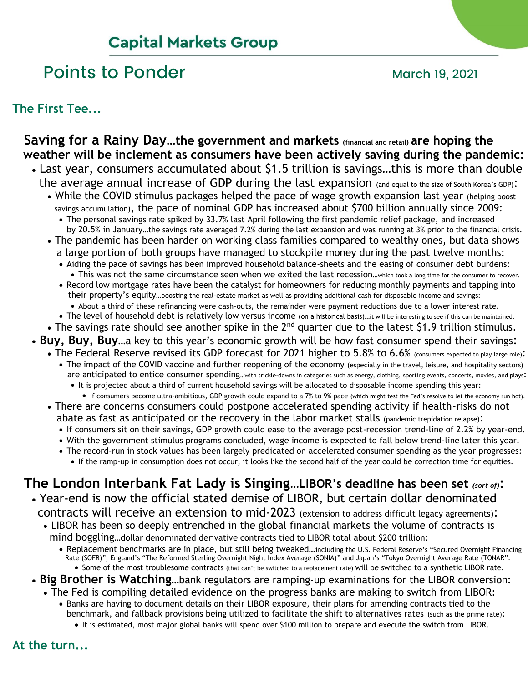# **Capital Markets Group**

# Points to Ponder and March 19, 2021

#### **The First Tee...**

## **Saving for a Rainy Day…the government and markets (financial and retail) are hoping the weather will be inclement as consumers have been actively saving during the pandemic:**

- Last year, consumers accumulated about \$1.5 trillion is savings…this is more than double the average annual increase of GDP during the last expansion (and equal to the size of South Korea's GDP):
	- While the COVID stimulus packages helped the pace of wage growth expansion last year (helping boost) savings accumulation), the pace of nominal GDP has increased about \$700 billion annually since 2009:
		- The personal savings rate spiked by 33.7% last April following the first pandemic relief package, and increased by 20.5% in January…the savings rate averaged 7.2% during the last expansion and was running at 3% prior to the financial crisis.
	- The pandemic has been harder on working class families compared to wealthy ones, but data shows a large portion of both groups have managed to stockpile money during the past twelve months:
		- Aiding the pace of savings has been improved household balance-sheets and the easing of consumer debt burdens:
		- This was not the same circumstance seen when we exited the last recession…which took a long time for the consumer to recover. • Record low mortgage rates have been the catalyst for homeowners for reducing monthly payments and tapping into
			- their property's equity…boosting the real-estate market as well as providing additional cash for disposable income and savings:
			- About a third of these refinancing were cash-outs, the remainder were payment reductions due to a lower interest rate.
		- The level of household debt is relatively low versus income (on a historical basis)...it will be interesting to see if this can be maintained.
	- The savings rate should see another spike in the 2<sup>nd</sup> quarter due to the latest \$1.9 trillion stimulus.
- **Buy, Buy, Buy**…a key to this year's economic growth will be how fast consumer spend their savings:
	- The Federal Reserve revised its GDP forecast for 2021 higher to 5.8% to 6.6% (consumers expected to play large role):
		- The impact of the COVID vaccine and further reopening of the economy (especially in the travel, leisure, and hospitality sectors) are anticipated to entice consumer spending…with trickle-downs in categories such as energy, clothing, sporting events, concerts, movies, and plays:
			- It is projected about a third of current household savings will be allocated to disposable income spending this year:
	- If consumers become ultra-ambitious, GDP growth could expand to a 7% to 9% pace (which might test the Fed's resolve to let the economy run hot). • There are concerns consumers could postpone accelerated spending activity if health-risks do not
		- abate as fast as anticipated or the recovery in the labor market stalls (pandemic trepidation relapse):
		- If consumers sit on their savings, GDP growth could ease to the average post-recession trend-line of 2.2% by year-end.
		- With the government stimulus programs concluded, wage income is expected to fall below trend-line later this year.
		- The record-run in stock values has been largely predicated on accelerated consumer spending as the year progresses:
			- If the ramp-up in consumption does not occur, it looks like the second half of the year could be correction time for equities.

# **The London Interbank Fat Lady is Singing…LIBOR's deadline has been set** *(sort of)***:**

- Year-end is now the official stated demise of LIBOR, but certain dollar denominated contracts will receive an extension to mid-2023 (extension to address difficult legacy agreements):
	- LIBOR has been so deeply entrenched in the global financial markets the volume of contracts is mind boggling…dollar denominated derivative contracts tied to LIBOR total about \$200 trillion:
		- Replacement benchmarks are in place, but still being tweaked…including the U.S. Federal Reserve's "Secured Overnight Financing Rate (SOFR)", England's "The Reformed Sterling Overnight Night Index Average (SONIA)" and Japan's "Tokyo Overnight Average Rate (TONAR": • Some of the most troublesome contracts (that can't be switched to a replacement rate) will be switched to a synthetic LIBOR rate.
- **Big Brother is Watching**…bank regulators are ramping-up examinations for the LIBOR conversion:
	- The Fed is compiling detailed evidence on the progress banks are making to switch from LIBOR:
		- Banks are having to document details on their LIBOR exposure, their plans for amending contracts tied to the benchmark, and fallback provisions being utilized to facilitate the shift to alternatives rates (such as the prime rate):
			- It is estimated, most major global banks will spend over \$100 million to prepare and execute the switch from LIBOR.